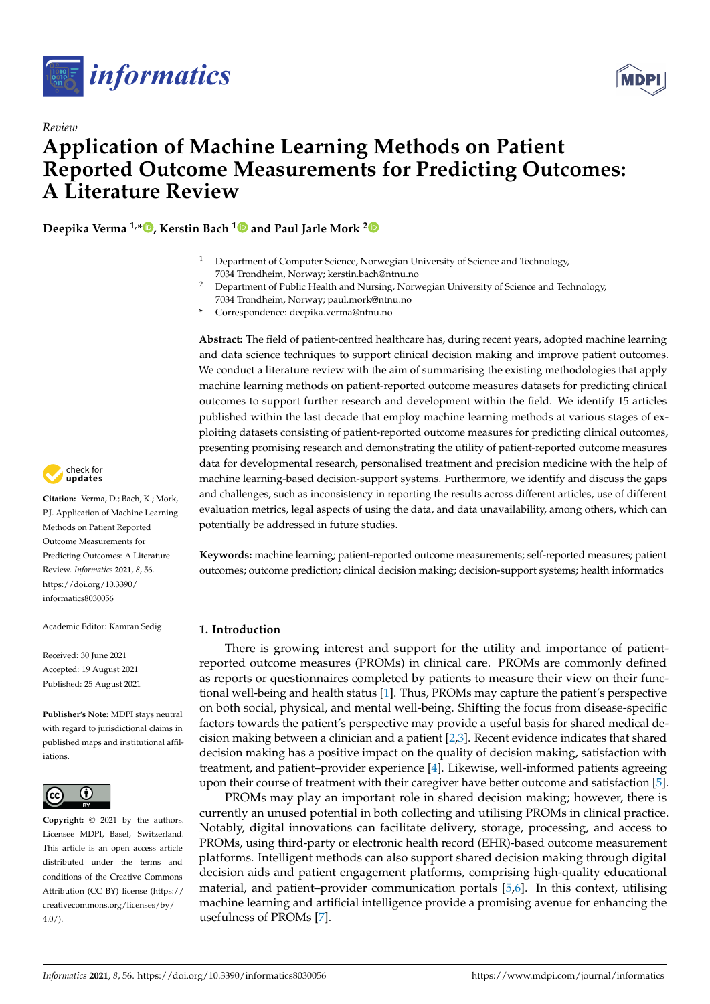



# **Application of Machine Learning Methods on Patient Reported Outcome Measurements for Predicting Outcomes: A Literature Review**

**Deepika Verma 1,\* [,](https://orcid.org/0000-0002-0499-4853) Kerstin Bach [1](https://orcid.org/0000-0002-4256-7676) and Paul Jarle Mork [2](https://orcid.org/0000-0003-3355-2680)**

- <sup>1</sup> Department of Computer Science, Norwegian University of Science and Technology, 7034 Trondheim, Norway; kerstin.bach@ntnu.no
- <sup>2</sup> Department of Public Health and Nursing, Norwegian University of Science and Technology, 7034 Trondheim, Norway; paul.mork@ntnu.no
- **\*** Correspondence: deepika.verma@ntnu.no

**Abstract:** The field of patient-centred healthcare has, during recent years, adopted machine learning and data science techniques to support clinical decision making and improve patient outcomes. We conduct a literature review with the aim of summarising the existing methodologies that apply machine learning methods on patient-reported outcome measures datasets for predicting clinical outcomes to support further research and development within the field. We identify 15 articles published within the last decade that employ machine learning methods at various stages of exploiting datasets consisting of patient-reported outcome measures for predicting clinical outcomes, presenting promising research and demonstrating the utility of patient-reported outcome measures data for developmental research, personalised treatment and precision medicine with the help of machine learning-based decision-support systems. Furthermore, we identify and discuss the gaps and challenges, such as inconsistency in reporting the results across different articles, use of different evaluation metrics, legal aspects of using the data, and data unavailability, among others, which can potentially be addressed in future studies.

**Keywords:** machine learning; patient-reported outcome measurements; self-reported measures; patient outcomes; outcome prediction; clinical decision making; decision-support systems; health informatics

## **1. Introduction**

There is growing interest and support for the utility and importance of patientreported outcome measures (PROMs) in clinical care. PROMs are commonly defined as reports or questionnaires completed by patients to measure their view on their functional well-being and health status [\[1\]](#page-11-0). Thus, PROMs may capture the patient's perspective on both social, physical, and mental well-being. Shifting the focus from disease-specific factors towards the patient's perspective may provide a useful basis for shared medical decision making between a clinician and a patient  $[2,3]$  $[2,3]$ . Recent evidence indicates that shared decision making has a positive impact on the quality of decision making, satisfaction with treatment, and patient–provider experience [\[4\]](#page-11-3). Likewise, well-informed patients agreeing upon their course of treatment with their caregiver have better outcome and satisfaction [\[5\]](#page-11-4).

PROMs may play an important role in shared decision making; however, there is currently an unused potential in both collecting and utilising PROMs in clinical practice. Notably, digital innovations can facilitate delivery, storage, processing, and access to PROMs, using third-party or electronic health record (EHR)-based outcome measurement platforms. Intelligent methods can also support shared decision making through digital decision aids and patient engagement platforms, comprising high-quality educational material, and patient–provider communication portals [\[5,](#page-11-4)[6\]](#page-11-5). In this context, utilising machine learning and artificial intelligence provide a promising avenue for enhancing the usefulness of PROMs [\[7\]](#page-11-6).



*Review*

**Citation:** Verma, D.; Bach, K.; Mork, P.J. Application of Machine Learning Methods on Patient Reported Outcome Measurements for Predicting Outcomes: A Literature Review. *Informatics* **2021**, *8*, 56. [https://doi.org/10.3390/](https://doi.org/10.3390/informatics8030056) [informatics8030056](https://doi.org/10.3390/informatics8030056)

Academic Editor: Kamran Sedig

Received: 30 June 2021 Accepted: 19 August 2021 Published: 25 August 2021

**Publisher's Note:** MDPI stays neutral with regard to jurisdictional claims in published maps and institutional affiliations.



**Copyright:** © 2021 by the authors. Licensee MDPI, Basel, Switzerland. This article is an open access article distributed under the terms and conditions of the Creative Commons Attribution (CC BY) license (https:/[/](https://creativecommons.org/licenses/by/4.0/) [creativecommons.org/licenses/by/](https://creativecommons.org/licenses/by/4.0/)  $4.0/$ ).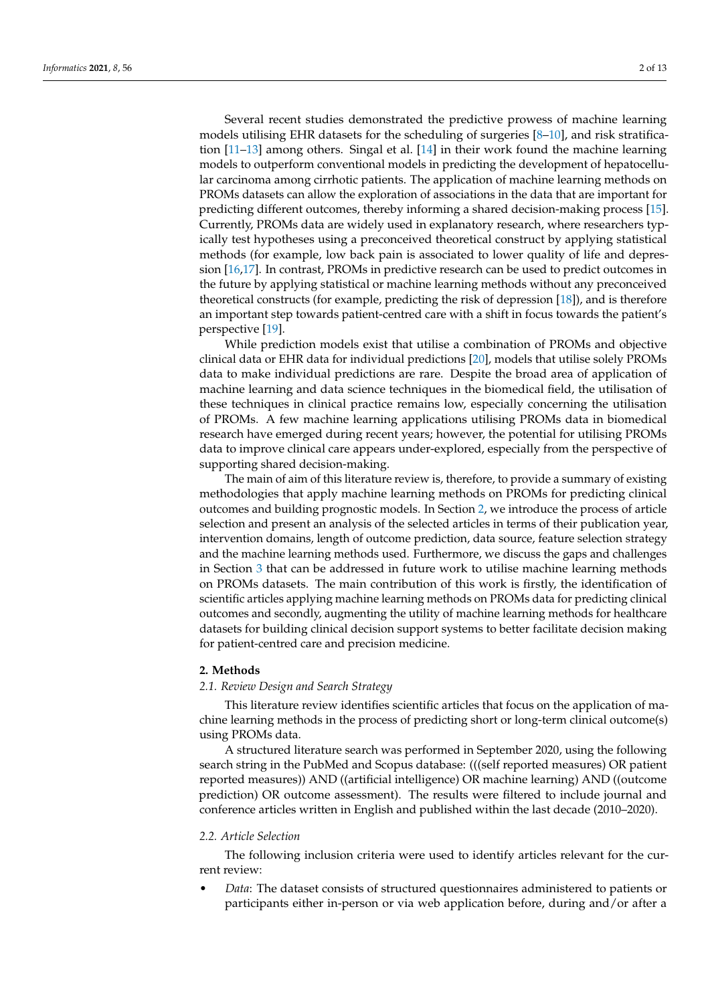Several recent studies demonstrated the predictive prowess of machine learning models utilising EHR datasets for the scheduling of surgeries [\[8](#page-11-7)[–10\]](#page-11-8), and risk stratification [\[11–](#page-11-9)[13\]](#page-11-10) among others. Singal et al. [\[14\]](#page-11-11) in their work found the machine learning models to outperform conventional models in predicting the development of hepatocellular carcinoma among cirrhotic patients. The application of machine learning methods on PROMs datasets can allow the exploration of associations in the data that are important for predicting different outcomes, thereby informing a shared decision-making process [\[15\]](#page-11-12). Currently, PROMs data are widely used in explanatory research, where researchers typically test hypotheses using a preconceived theoretical construct by applying statistical methods (for example, low back pain is associated to lower quality of life and depression [\[16,](#page-11-13)[17\]](#page-11-14). In contrast, PROMs in predictive research can be used to predict outcomes in the future by applying statistical or machine learning methods without any preconceived theoretical constructs (for example, predicting the risk of depression [\[18\]](#page-11-15)), and is therefore an important step towards patient-centred care with a shift in focus towards the patient's perspective [\[19\]](#page-11-16).

While prediction models exist that utilise a combination of PROMs and objective clinical data or EHR data for individual predictions [\[20\]](#page-12-0), models that utilise solely PROMs data to make individual predictions are rare. Despite the broad area of application of machine learning and data science techniques in the biomedical field, the utilisation of these techniques in clinical practice remains low, especially concerning the utilisation of PROMs. A few machine learning applications utilising PROMs data in biomedical research have emerged during recent years; however, the potential for utilising PROMs data to improve clinical care appears under-explored, especially from the perspective of supporting shared decision-making.

The main of aim of this literature review is, therefore, to provide a summary of existing methodologies that apply machine learning methods on PROMs for predicting clinical outcomes and building prognostic models. In Section [2,](#page-1-0) we introduce the process of article selection and present an analysis of the selected articles in terms of their publication year, intervention domains, length of outcome prediction, data source, feature selection strategy and the machine learning methods used. Furthermore, we discuss the gaps and challenges in Section [3](#page-9-0) that can be addressed in future work to utilise machine learning methods on PROMs datasets. The main contribution of this work is firstly, the identification of scientific articles applying machine learning methods on PROMs data for predicting clinical outcomes and secondly, augmenting the utility of machine learning methods for healthcare datasets for building clinical decision support systems to better facilitate decision making for patient-centred care and precision medicine.

## <span id="page-1-0"></span>**2. Methods**

## *2.1. Review Design and Search Strategy*

This literature review identifies scientific articles that focus on the application of machine learning methods in the process of predicting short or long-term clinical outcome(s) using PROMs data.

A structured literature search was performed in September 2020, using the following search string in the PubMed and Scopus database: (((self reported measures) OR patient reported measures)) AND ((artificial intelligence) OR machine learning) AND ((outcome prediction) OR outcome assessment). The results were filtered to include journal and conference articles written in English and published within the last decade (2010–2020).

#### *2.2. Article Selection*

The following inclusion criteria were used to identify articles relevant for the current review:

• *Data*: The dataset consists of structured questionnaires administered to patients or participants either in-person or via web application before, during and/or after a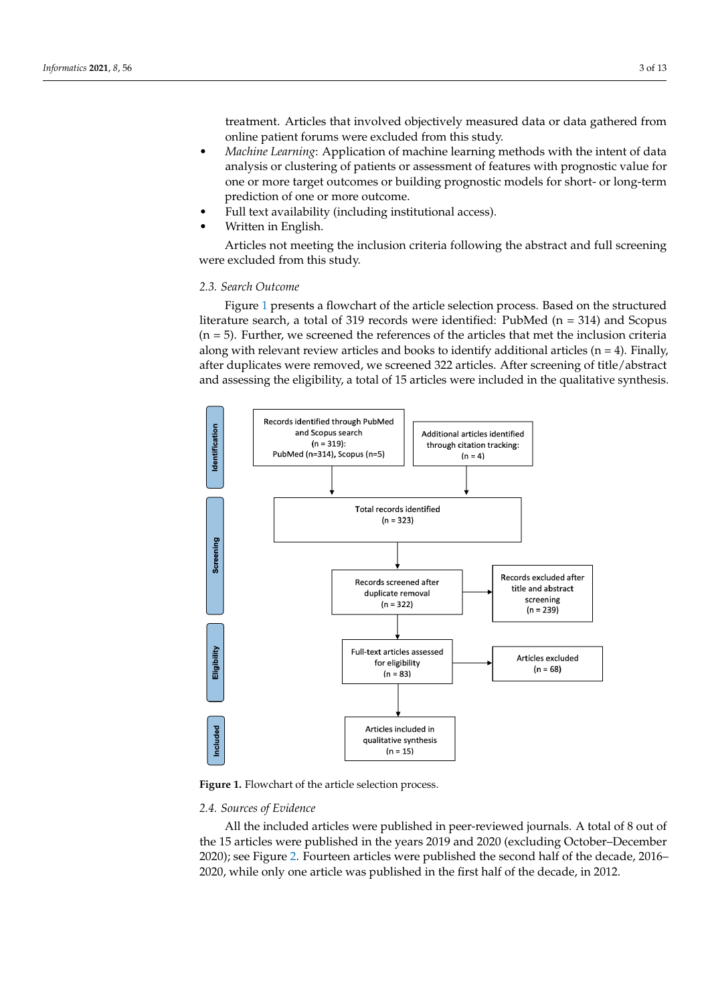treatment. Articles that involved objectively measured data or data gathered from online patient forums were excluded from this study.

- *Machine Learning*: Application of machine learning methods with the intent of data analysis or clustering of patients or assessment of features with prognostic value for one or more target outcomes or building prognostic models for short- or long-term prediction of one or more outcome.
- Full text availability (including institutional access).
- Written in English.

Articles not meeting the inclusion criteria following the abstract and full screening were excluded from this study.

#### *2.3. Search Outcome*

Figure [1](#page-2-0) presents a flowchart of the article selection process. Based on the structured literature search, a total of 319 records were identified: PubMed (n = 314) and Scopus  $(n = 5)$ . Further, we screened the references of the articles that met the inclusion criteria along with relevant review articles and books to identify additional articles  $(n = 4)$ . Finally, after duplicates were removed, we screened 322 articles. After screening of title/abstract and assessing the eligibility, a total of 15 articles were included in the qualitative synthesis.

<span id="page-2-0"></span>

**Figure 1.** Flowchart of the article selection process.

## *2.4. Sources of Evidence*

All the included articles were published in peer-reviewed journals. A total of 8 out of the 15 articles were published in the years 2019 and 2020 (excluding October–December 2020); see Figure [2.](#page-3-0) Fourteen articles were published the second half of the decade, 2016– 2020, while only one article was published in the first half of the decade, in 2012.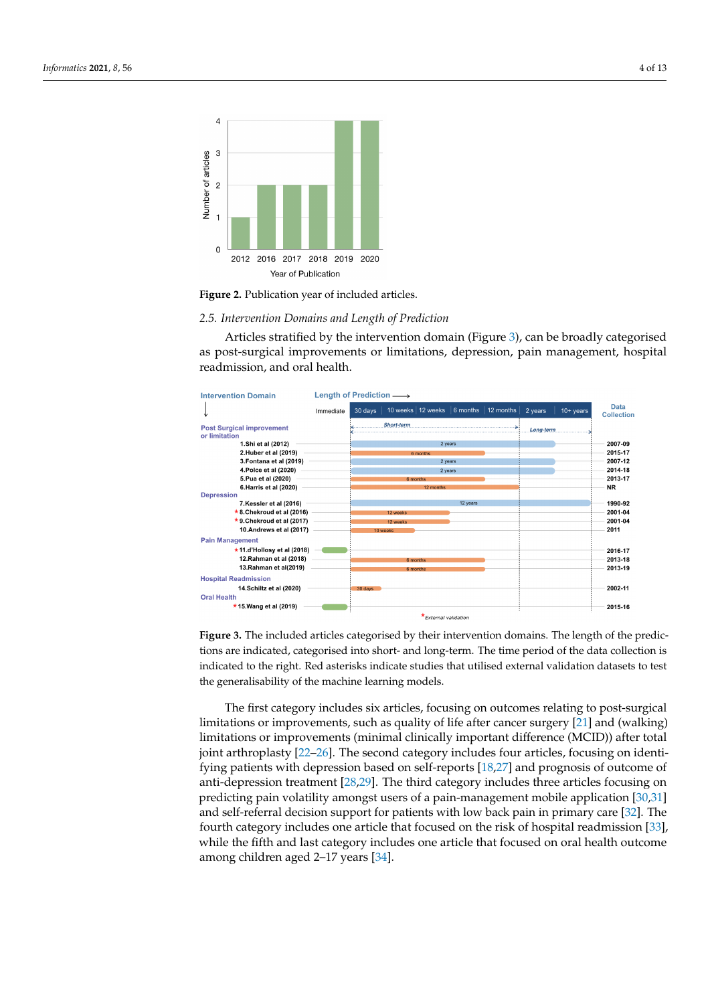<span id="page-3-0"></span>

**Figure 2.** Publication year of included articles.

#### *2.5. Intervention Domains and Length of Prediction*

Articles stratified by the intervention domain (Figure [3\)](#page-3-1), can be broadly categorised as post-surgical improvements or limitations, depression, pain management, hospital readmission, and oral health.

<span id="page-3-1"></span>

**Figure 3.** The included articles categorised by their intervention domains. The length of the predictions are indicated, categorised into short- and long-term. The time period of the data collection is indicated to the right. Red asterisks indicate studies that utilised external validation datasets to test the generalisability of the machine learning models.

The first category includes six articles, focusing on outcomes relating to post-surgical limitations or improvements, such as quality of life after cancer surgery [\[21\]](#page-12-1) and (walking) limitations or improvements (minimal clinically important difference (MCID)) after total joint arthroplasty [\[22](#page-12-2)[–26\]](#page-12-3). The second category includes four articles, focusing on identifying patients with depression based on self-reports [\[18](#page-11-15)[,27\]](#page-12-4) and prognosis of outcome of anti-depression treatment [\[28](#page-12-5)[,29\]](#page-12-6). The third category includes three articles focusing on predicting pain volatility amongst users of a pain-management mobile application [\[30,](#page-12-7)[31\]](#page-12-8) and self-referral decision support for patients with low back pain in primary care [\[32\]](#page-12-9). The fourth category includes one article that focused on the risk of hospital readmission [\[33\]](#page-12-10), while the fifth and last category includes one article that focused on oral health outcome among children aged 2–17 years [\[34\]](#page-12-11).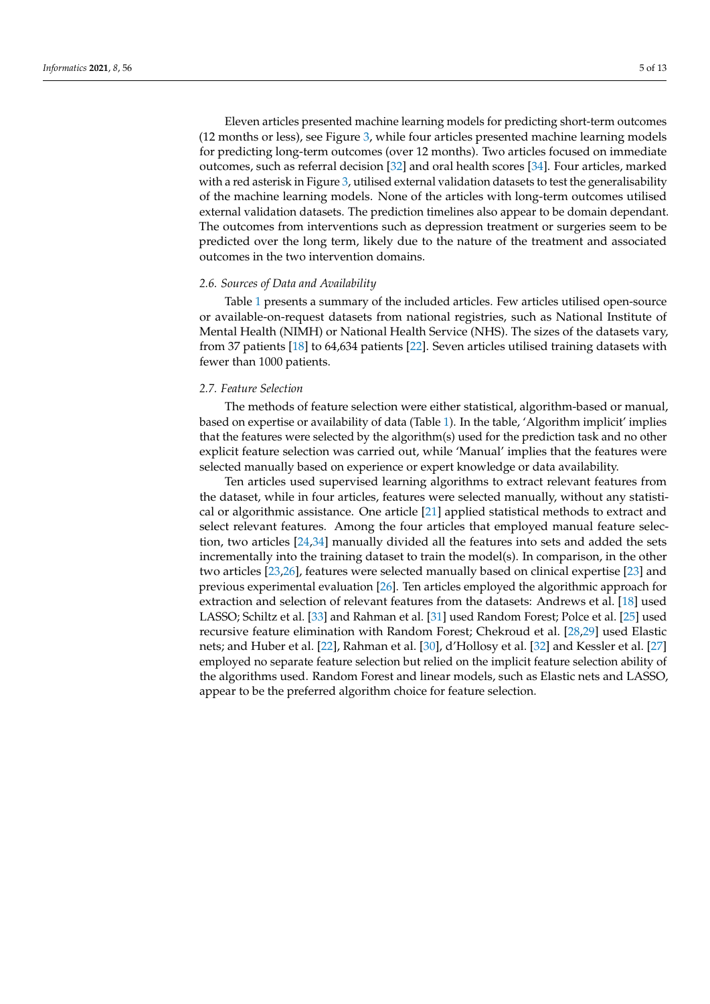Eleven articles presented machine learning models for predicting short-term outcomes (12 months or less), see Figure [3,](#page-3-1) while four articles presented machine learning models for predicting long-term outcomes (over 12 months). Two articles focused on immediate outcomes, such as referral decision [\[32\]](#page-12-9) and oral health scores [\[34\]](#page-12-11). Four articles, marked with a red asterisk in Figure [3,](#page-3-1) utilised external validation datasets to test the generalisability of the machine learning models. None of the articles with long-term outcomes utilised external validation datasets. The prediction timelines also appear to be domain dependant. The outcomes from interventions such as depression treatment or surgeries seem to be predicted over the long term, likely due to the nature of the treatment and associated outcomes in the two intervention domains.

#### *2.6. Sources of Data and Availability*

Table [1](#page-5-0) presents a summary of the included articles. Few articles utilised open-source or available-on-request datasets from national registries, such as National Institute of Mental Health (NIMH) or National Health Service (NHS). The sizes of the datasets vary, from 37 patients [\[18\]](#page-11-15) to 64,634 patients [\[22\]](#page-12-2). Seven articles utilised training datasets with fewer than 1000 patients.

#### *2.7. Feature Selection*

The methods of feature selection were either statistical, algorithm-based or manual, based on expertise or availability of data (Table [1\)](#page-5-0). In the table, 'Algorithm implicit' implies that the features were selected by the algorithm(s) used for the prediction task and no other explicit feature selection was carried out, while 'Manual' implies that the features were selected manually based on experience or expert knowledge or data availability.

Ten articles used supervised learning algorithms to extract relevant features from the dataset, while in four articles, features were selected manually, without any statistical or algorithmic assistance. One article [\[21\]](#page-12-1) applied statistical methods to extract and select relevant features. Among the four articles that employed manual feature selection, two articles [\[24,](#page-12-12)[34\]](#page-12-11) manually divided all the features into sets and added the sets incrementally into the training dataset to train the model(s). In comparison, in the other two articles [\[23,](#page-12-13)[26\]](#page-12-3), features were selected manually based on clinical expertise [\[23\]](#page-12-13) and previous experimental evaluation [\[26\]](#page-12-3). Ten articles employed the algorithmic approach for extraction and selection of relevant features from the datasets: Andrews et al. [\[18\]](#page-11-15) used LASSO; Schiltz et al. [\[33\]](#page-12-10) and Rahman et al. [\[31\]](#page-12-8) used Random Forest; Polce et al. [\[25\]](#page-12-14) used recursive feature elimination with Random Forest; Chekroud et al. [\[28](#page-12-5)[,29\]](#page-12-6) used Elastic nets; and Huber et al. [\[22\]](#page-12-2), Rahman et al. [\[30\]](#page-12-7), d'Hollosy et al. [\[32\]](#page-12-9) and Kessler et al. [\[27\]](#page-12-4) employed no separate feature selection but relied on the implicit feature selection ability of the algorithms used. Random Forest and linear models, such as Elastic nets and LASSO, appear to be the preferred algorithm choice for feature selection.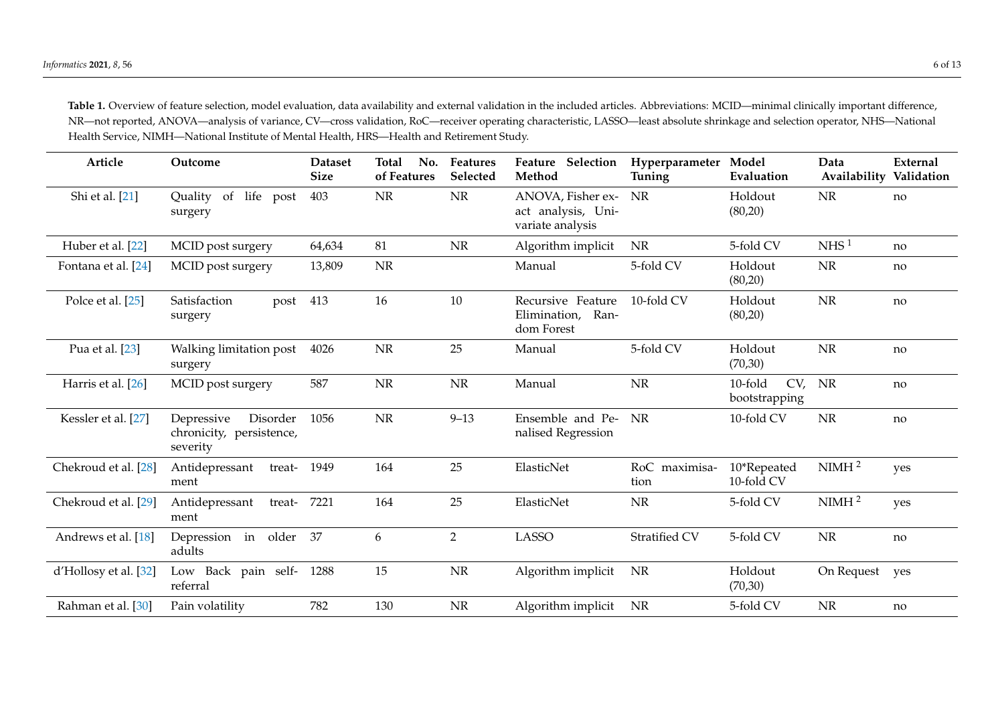Table 1. Overview of feature selection, model evaluation, data availability and external validation in the included articles. Abbreviations: MCID—minimal clinically important difference, NR—not reported, ANOVA—analysis of variance, CV—cross validation, RoC—receiver operating characteristic, LASSO—least absolute shrinkage and selection operator, NHS—National Health Service, NIMH—National Institute of Mental Health, HRS—Health and Retirement Study.

<span id="page-5-0"></span>

| Article               | Outcome                                                        | <b>Dataset</b><br><b>Size</b> | <b>Total</b><br>No.<br>of Features | Features<br>Selected | Feature Selection<br>Method                                              | Hyperparameter Model<br>Tuning | Evaluation                | Data<br>Availability | External<br>Validation |
|-----------------------|----------------------------------------------------------------|-------------------------------|------------------------------------|----------------------|--------------------------------------------------------------------------|--------------------------------|---------------------------|----------------------|------------------------|
| Shi et al. [21]       | Quality of life post<br>surgery                                | 403                           | $\rm NR$                           | $\rm{NR}$            | ANOVA, Fisher ex-<br><b>NR</b><br>act analysis, Uni-<br>variate analysis |                                | Holdout<br>(80,20)        | <b>NR</b>            | no                     |
| Huber et al. [22]     | MCID post surgery                                              | 64,634                        | 81                                 | NR                   | Algorithm implicit                                                       | <b>NR</b>                      | 5-fold CV                 | NHS <sup>1</sup>     | no                     |
| Fontana et al. [24]   | MCID post surgery                                              | 13,809                        | NR                                 |                      | Manual                                                                   | 5-fold CV                      | Holdout<br>(80,20)        | <b>NR</b>            | no                     |
| Polce et al. [25]     | Satisfaction<br>post 413<br>surgery                            |                               | 16                                 | 10                   | Recursive Feature<br>Elimination,<br>Ran-<br>dom Forest                  | 10-fold CV                     | Holdout<br>(80,20)        | NR                   | no                     |
| Pua et al. [23]       | Walking limitation post<br>surgery                             | 4026                          | $\rm{NR}$                          | 25                   | Manual                                                                   | 5-fold CV                      | Holdout<br>(70, 30)       | <b>NR</b>            | no                     |
| Harris et al. [26]    | MCID post surgery                                              | 587                           | $\rm{NR}$                          | NR                   | Manual                                                                   | NR                             | 10-fold<br>bootstrapping  | CV, NR               | no                     |
| Kessler et al. [27]   | Depressive<br>Disorder<br>chronicity, persistence,<br>severity | 1056                          | NR                                 | $9 - 13$             | Ensemble and Pe-<br>nalised Regression                                   | NR                             | 10-fold CV                | <b>NR</b>            | no                     |
| Chekroud et al. [28]  | Antidepressant<br>treat- 1949<br>ment                          |                               | 164                                | 25                   | ElasticNet                                                               | RoC maximisa-<br>tion          | 10*Repeated<br>10-fold CV | NIMH <sup>2</sup>    | yes                    |
| Chekroud et al. [29]  | treat- 7221<br>Antidepressant<br>ment                          |                               | 164                                | 25                   | ElasticNet                                                               | NR                             | 5-fold CV                 | NIMH <sup>2</sup>    | yes                    |
| Andrews et al. [18]   | Depression in older<br>adults                                  | - 37                          | 6                                  | $\overline{2}$       | <b>LASSO</b>                                                             | Stratified CV                  | 5-fold CV                 | $\rm{NR}$            | no                     |
| d'Hollosy et al. [32] | Low Back pain self- 1288<br>referral                           |                               | 15                                 | NR                   | Algorithm implicit                                                       | NR                             | Holdout<br>(70, 30)       | On Request           | yes                    |
| Rahman et al. [30]    | Pain volatility                                                | 782                           | 130                                | $\rm{NR}$            | Algorithm implicit                                                       | NR                             | 5-fold CV                 | NR                   | no                     |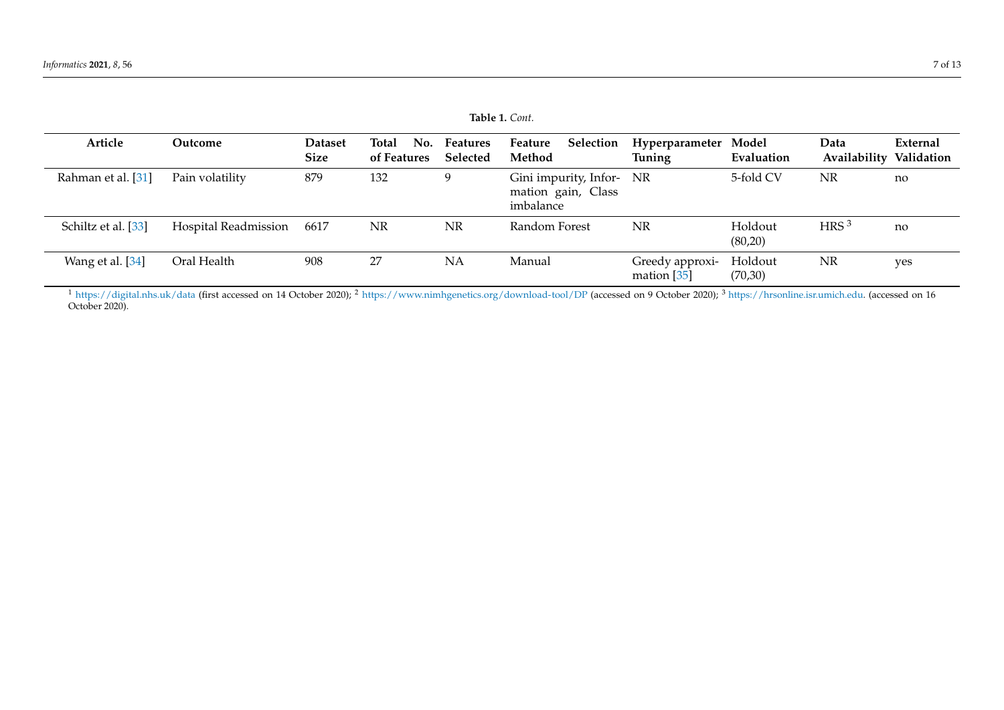| Table 1. Cont.      |                      |                               |                             |                      |                                                             |                                  |                    |                                 |          |
|---------------------|----------------------|-------------------------------|-----------------------------|----------------------|-------------------------------------------------------------|----------------------------------|--------------------|---------------------------------|----------|
| Article             | Outcome              | <b>Dataset</b><br><b>Size</b> | Total<br>No.<br>of Features | Features<br>Selected | <b>Selection</b><br>Feature<br>Method                       | Hyperparameter Model<br>Tuning   | Evaluation         | Data<br>Availability Validation | External |
| Rahman et al. [31]  | Pain volatility      | 879                           | 132                         | a                    | Gini impurity, Infor- NR<br>mation gain, Class<br>imbalance |                                  | 5-fold CV          | NR                              | no       |
| Schiltz et al. [33] | Hospital Readmission | 6617                          | NR                          | <b>NR</b>            | Random Forest                                               | NR                               | Holdout<br>(80,20) | HRS <sup>3</sup>                | no       |
| Wang et al. [34]    | Oral Health          | 908                           | 27                          | <b>NA</b>            | Manual                                                      | Greedy approxi-<br>mation $[35]$ | Holdout<br>(70,30) | NR                              | yes      |

 $^1$  <https://digital.nhs.uk/data> (first accessed on 14 October 2020);  $^2$  <https://www.nimhgenetics.org/download-tool/DP> (accessed on 9 October 2020);  $^3$  [https://hrsonline.isr.umich.edu.](https://hrsonline.isr.umich.edu) (accessed on 16 October 2020).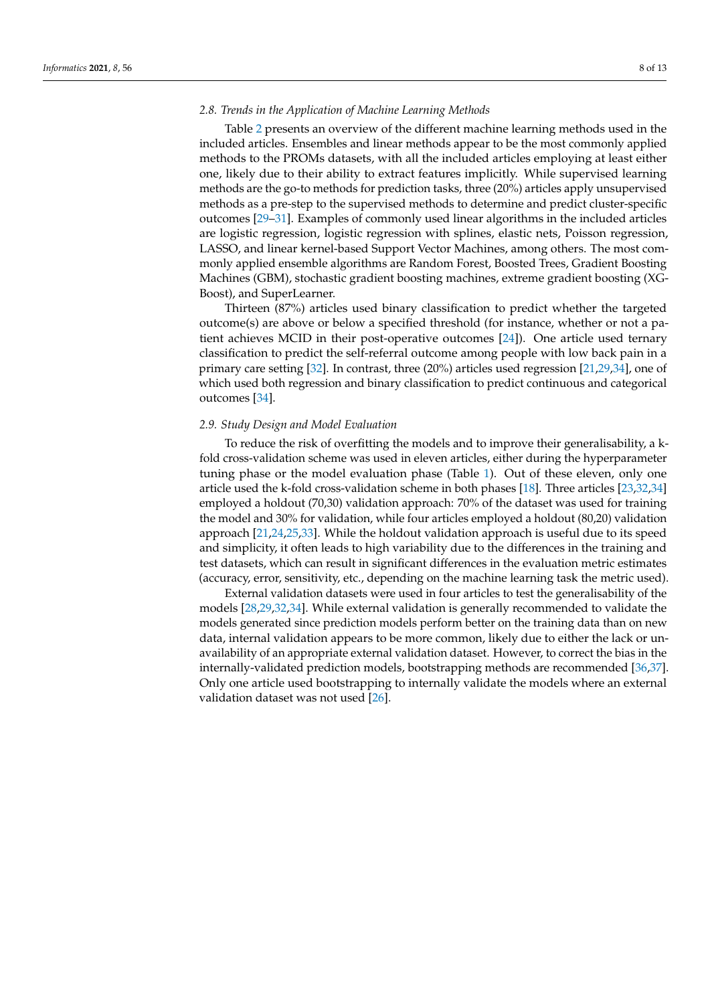#### *2.8. Trends in the Application of Machine Learning Methods*

Table [2](#page-8-0) presents an overview of the different machine learning methods used in the included articles. Ensembles and linear methods appear to be the most commonly applied methods to the PROMs datasets, with all the included articles employing at least either one, likely due to their ability to extract features implicitly. While supervised learning methods are the go-to methods for prediction tasks, three (20%) articles apply unsupervised methods as a pre-step to the supervised methods to determine and predict cluster-specific outcomes [\[29–](#page-12-6)[31\]](#page-12-8). Examples of commonly used linear algorithms in the included articles are logistic regression, logistic regression with splines, elastic nets, Poisson regression, LASSO, and linear kernel-based Support Vector Machines, among others. The most commonly applied ensemble algorithms are Random Forest, Boosted Trees, Gradient Boosting Machines (GBM), stochastic gradient boosting machines, extreme gradient boosting (XG-Boost), and SuperLearner.

Thirteen (87%) articles used binary classification to predict whether the targeted outcome(s) are above or below a specified threshold (for instance, whether or not a patient achieves MCID in their post-operative outcomes [\[24\]](#page-12-12)). One article used ternary classification to predict the self-referral outcome among people with low back pain in a primary care setting [\[32\]](#page-12-9). In contrast, three (20%) articles used regression [\[21,](#page-12-1)[29,](#page-12-6)[34\]](#page-12-11), one of which used both regression and binary classification to predict continuous and categorical outcomes [\[34\]](#page-12-11).

#### *2.9. Study Design and Model Evaluation*

To reduce the risk of overfitting the models and to improve their generalisability, a kfold cross-validation scheme was used in eleven articles, either during the hyperparameter tuning phase or the model evaluation phase (Table [1\)](#page-5-0). Out of these eleven, only one article used the k-fold cross-validation scheme in both phases [\[18\]](#page-11-15). Three articles [\[23,](#page-12-13)[32,](#page-12-9)[34\]](#page-12-11) employed a holdout (70,30) validation approach: 70% of the dataset was used for training the model and 30% for validation, while four articles employed a holdout (80,20) validation approach [\[21](#page-12-1)[,24](#page-12-12)[,25](#page-12-14)[,33\]](#page-12-10). While the holdout validation approach is useful due to its speed and simplicity, it often leads to high variability due to the differences in the training and test datasets, which can result in significant differences in the evaluation metric estimates (accuracy, error, sensitivity, etc., depending on the machine learning task the metric used).

External validation datasets were used in four articles to test the generalisability of the models [\[28](#page-12-5)[,29](#page-12-6)[,32](#page-12-9)[,34\]](#page-12-11). While external validation is generally recommended to validate the models generated since prediction models perform better on the training data than on new data, internal validation appears to be more common, likely due to either the lack or unavailability of an appropriate external validation dataset. However, to correct the bias in the internally-validated prediction models, bootstrapping methods are recommended [\[36](#page-12-30)[,37\]](#page-12-31). Only one article used bootstrapping to internally validate the models where an external validation dataset was not used [\[26\]](#page-12-3).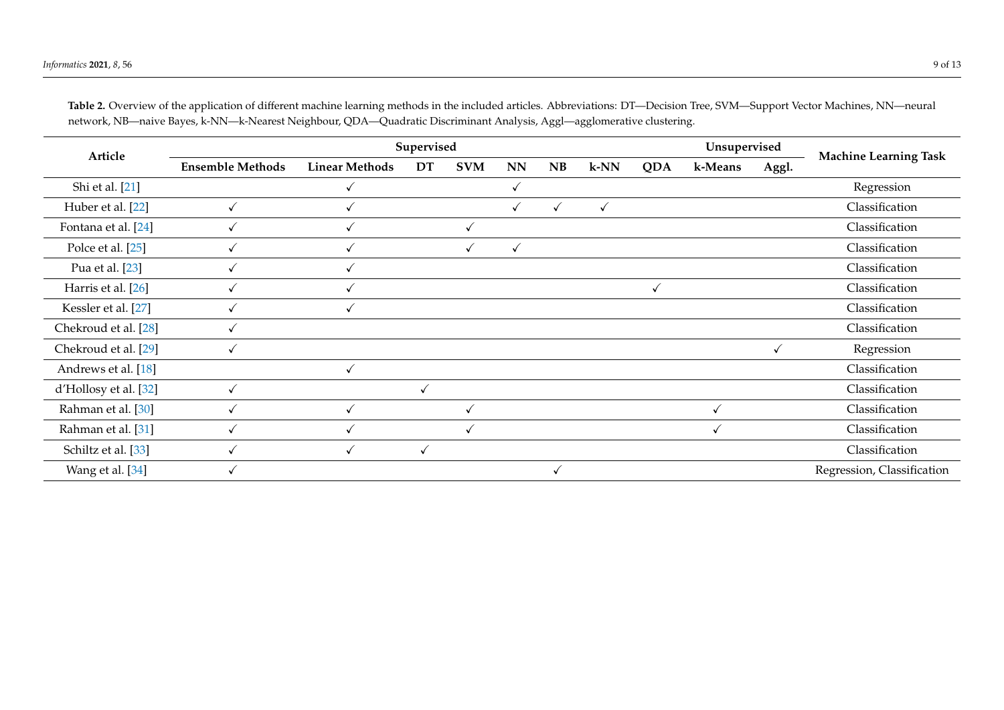<span id="page-8-0"></span>

| Article               |                         |                       | Unsupervised |              |              |              |        |            |         |       |                              |
|-----------------------|-------------------------|-----------------------|--------------|--------------|--------------|--------------|--------|------------|---------|-------|------------------------------|
|                       | <b>Ensemble Methods</b> | <b>Linear Methods</b> | DT           | <b>SVM</b>   | NN           | NB           | $k-NN$ | <b>QDA</b> | k-Means | Aggl. | <b>Machine Learning Task</b> |
| Shi et al. [21]       |                         |                       |              |              | $\checkmark$ |              |        |            |         |       | Regression                   |
| Huber et al. [22]     |                         |                       |              |              | ✓            | $\checkmark$ | √      |            |         |       | Classification               |
| Fontana et al. [24]   | √                       |                       |              | √            |              |              |        |            |         |       | Classification               |
| Polce et al. [25]     | √                       |                       |              | $\checkmark$ | $\checkmark$ |              |        |            |         |       | Classification               |
| Pua et al. [23]       |                         |                       |              |              |              |              |        |            |         |       | Classification               |
| Harris et al. [26]    |                         |                       |              |              |              |              |        |            |         |       | Classification               |
| Kessler et al. [27]   |                         |                       |              |              |              |              |        |            |         |       | Classification               |
| Chekroud et al. [28]  | √                       |                       |              |              |              |              |        |            |         |       | Classification               |
| Chekroud et al. [29]  | ✓                       |                       |              |              |              |              |        |            |         |       | Regression                   |
| Andrews et al. [18]   |                         |                       |              |              |              |              |        |            |         |       | Classification               |
| d'Hollosy et al. [32] | √                       |                       |              |              |              |              |        |            |         |       | Classification               |
| Rahman et al. [30]    |                         |                       |              |              |              |              |        |            |         |       | Classification               |
| Rahman et al. [31]    | √                       |                       |              | √            |              |              |        |            |         |       | Classification               |
| Schiltz et al. [33]   |                         |                       |              |              |              |              |        |            |         |       | Classification               |
| Wang et al. [34]      |                         |                       |              |              |              |              |        |            |         |       | Regression, Classification   |

**Table 2.** Overview of the application of different machine learning methods in the included articles. Abbreviations: DT—Decision Tree, SVM—Support Vector Machines, NN—neural network, NB—naive Bayes, k-NN—k-Nearest Neighbour, QDA—Quadratic Discriminant Analysis, Aggl—agglomerative clustering.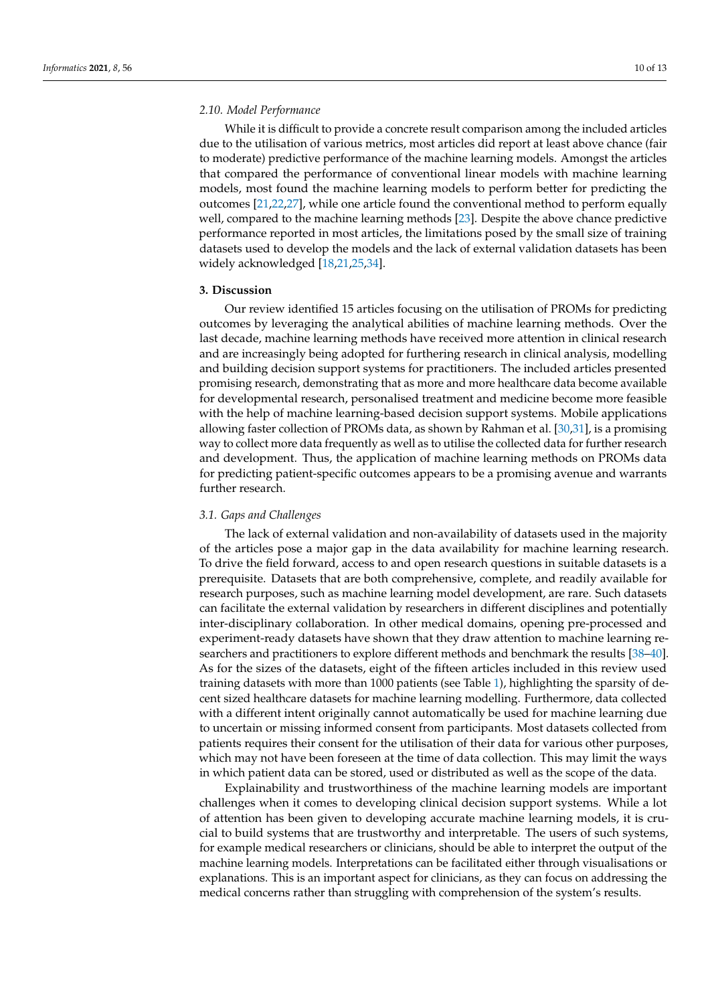## <span id="page-9-1"></span>*2.10. Model Performance*

While it is difficult to provide a concrete result comparison among the included articles due to the utilisation of various metrics, most articles did report at least above chance (fair to moderate) predictive performance of the machine learning models. Amongst the articles that compared the performance of conventional linear models with machine learning models, most found the machine learning models to perform better for predicting the outcomes [\[21,](#page-12-1)[22,](#page-12-2)[27\]](#page-12-4), while one article found the conventional method to perform equally well, compared to the machine learning methods [\[23\]](#page-12-13). Despite the above chance predictive performance reported in most articles, the limitations posed by the small size of training datasets used to develop the models and the lack of external validation datasets has been widely acknowledged [\[18,](#page-11-15)[21](#page-12-1)[,25,](#page-12-14)[34\]](#page-12-11).

#### <span id="page-9-0"></span>**3. Discussion**

Our review identified 15 articles focusing on the utilisation of PROMs for predicting outcomes by leveraging the analytical abilities of machine learning methods. Over the last decade, machine learning methods have received more attention in clinical research and are increasingly being adopted for furthering research in clinical analysis, modelling and building decision support systems for practitioners. The included articles presented promising research, demonstrating that as more and more healthcare data become available for developmental research, personalised treatment and medicine become more feasible with the help of machine learning-based decision support systems. Mobile applications allowing faster collection of PROMs data, as shown by Rahman et al. [\[30](#page-12-7)[,31\]](#page-12-8), is a promising way to collect more data frequently as well as to utilise the collected data for further research and development. Thus, the application of machine learning methods on PROMs data for predicting patient-specific outcomes appears to be a promising avenue and warrants further research.

#### *3.1. Gaps and Challenges*

The lack of external validation and non-availability of datasets used in the majority of the articles pose a major gap in the data availability for machine learning research. To drive the field forward, access to and open research questions in suitable datasets is a prerequisite. Datasets that are both comprehensive, complete, and readily available for research purposes, such as machine learning model development, are rare. Such datasets can facilitate the external validation by researchers in different disciplines and potentially inter-disciplinary collaboration. In other medical domains, opening pre-processed and experiment-ready datasets have shown that they draw attention to machine learning researchers and practitioners to explore different methods and benchmark the results [\[38](#page-12-32)[–40\]](#page-12-33). As for the sizes of the datasets, eight of the fifteen articles included in this review used training datasets with more than 1000 patients (see Table [1\)](#page-5-0), highlighting the sparsity of decent sized healthcare datasets for machine learning modelling. Furthermore, data collected with a different intent originally cannot automatically be used for machine learning due to uncertain or missing informed consent from participants. Most datasets collected from patients requires their consent for the utilisation of their data for various other purposes, which may not have been foreseen at the time of data collection. This may limit the ways in which patient data can be stored, used or distributed as well as the scope of the data.

Explainability and trustworthiness of the machine learning models are important challenges when it comes to developing clinical decision support systems. While a lot of attention has been given to developing accurate machine learning models, it is crucial to build systems that are trustworthy and interpretable. The users of such systems, for example medical researchers or clinicians, should be able to interpret the output of the machine learning models. Interpretations can be facilitated either through visualisations or explanations. This is an important aspect for clinicians, as they can focus on addressing the medical concerns rather than struggling with comprehension of the system's results.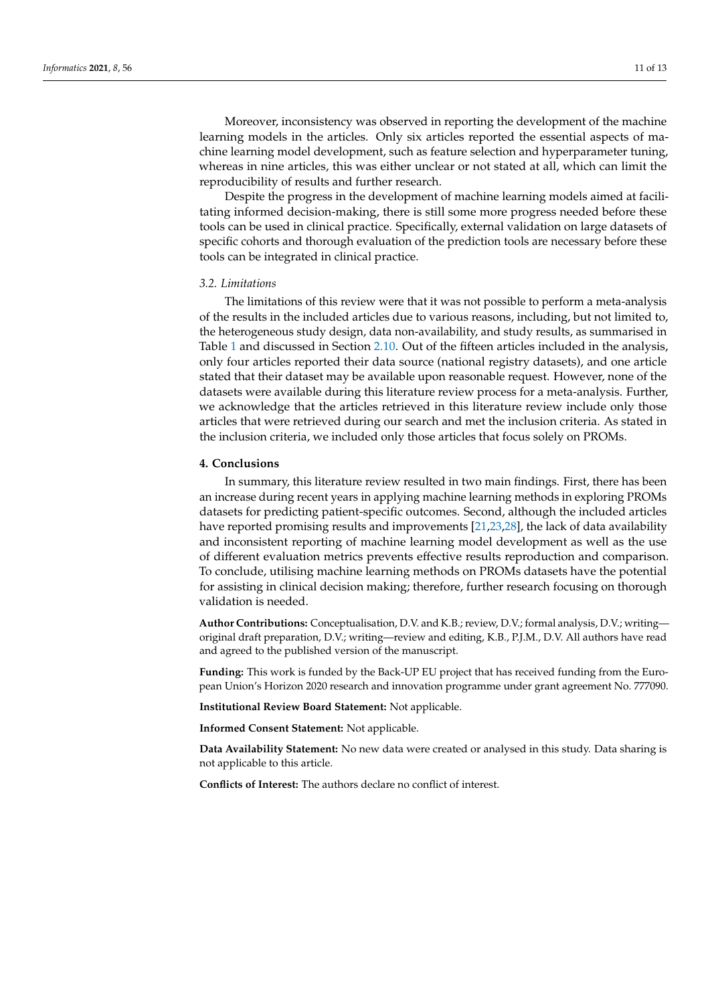Moreover, inconsistency was observed in reporting the development of the machine learning models in the articles. Only six articles reported the essential aspects of machine learning model development, such as feature selection and hyperparameter tuning, whereas in nine articles, this was either unclear or not stated at all, which can limit the reproducibility of results and further research.

Despite the progress in the development of machine learning models aimed at facilitating informed decision-making, there is still some more progress needed before these tools can be used in clinical practice. Specifically, external validation on large datasets of specific cohorts and thorough evaluation of the prediction tools are necessary before these tools can be integrated in clinical practice.

#### *3.2. Limitations*

The limitations of this review were that it was not possible to perform a meta-analysis of the results in the included articles due to various reasons, including, but not limited to, the heterogeneous study design, data non-availability, and study results, as summarised in Table [1](#page-5-0) and discussed in Section [2.10.](#page-9-1) Out of the fifteen articles included in the analysis, only four articles reported their data source (national registry datasets), and one article stated that their dataset may be available upon reasonable request. However, none of the datasets were available during this literature review process for a meta-analysis. Further, we acknowledge that the articles retrieved in this literature review include only those articles that were retrieved during our search and met the inclusion criteria. As stated in the inclusion criteria, we included only those articles that focus solely on PROMs.

### **4. Conclusions**

In summary, this literature review resulted in two main findings. First, there has been an increase during recent years in applying machine learning methods in exploring PROMs datasets for predicting patient-specific outcomes. Second, although the included articles have reported promising results and improvements [\[21](#page-12-1)[,23](#page-12-13)[,28\]](#page-12-5), the lack of data availability and inconsistent reporting of machine learning model development as well as the use of different evaluation metrics prevents effective results reproduction and comparison. To conclude, utilising machine learning methods on PROMs datasets have the potential for assisting in clinical decision making; therefore, further research focusing on thorough validation is needed.

**Author Contributions:** Conceptualisation, D.V. and K.B.; review, D.V.; formal analysis, D.V.; writing original draft preparation, D.V.; writing—review and editing, K.B., P.J.M., D.V. All authors have read and agreed to the published version of the manuscript.

**Funding:** This work is funded by the Back-UP EU project that has received funding from the European Union's Horizon 2020 research and innovation programme under grant agreement No. 777090.

**Institutional Review Board Statement:** Not applicable.

**Informed Consent Statement:** Not applicable.

**Data Availability Statement:** No new data were created or analysed in this study. Data sharing is not applicable to this article.

**Conflicts of Interest:** The authors declare no conflict of interest.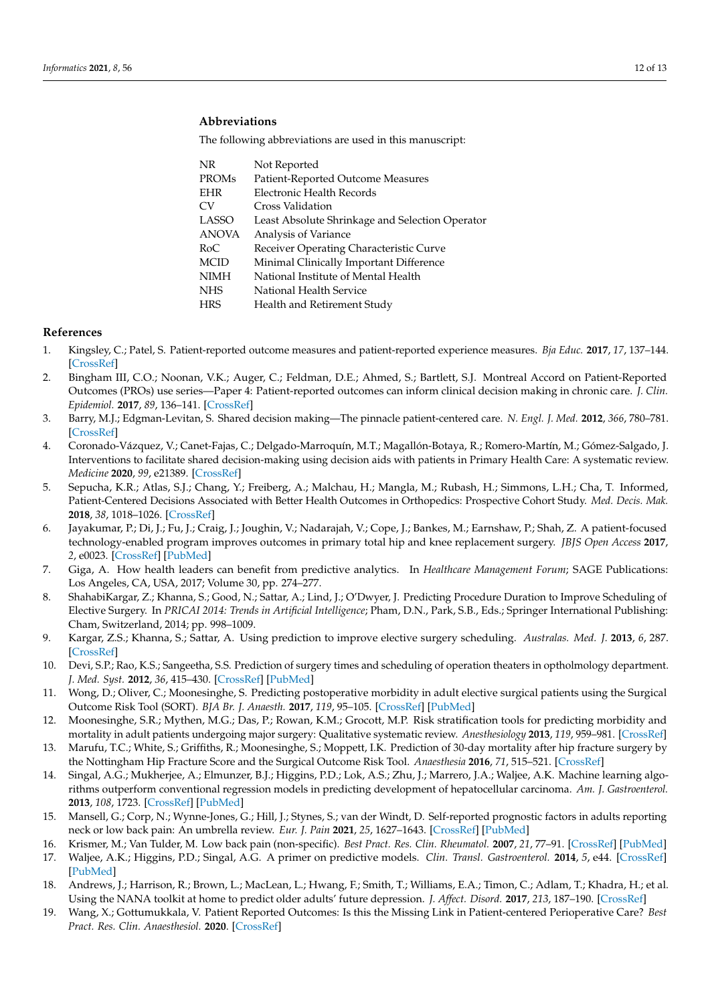# **Abbreviations**

The following abbreviations are used in this manuscript:

| NR           | Not Reported                                    |
|--------------|-------------------------------------------------|
| <b>PROMs</b> | Patient-Reported Outcome Measures               |
| <b>EHR</b>   | Electronic Health Records                       |
| CV.          | Cross Validation                                |
| <b>LASSO</b> | Least Absolute Shrinkage and Selection Operator |
| <b>ANOVA</b> | Analysis of Variance                            |
| RoC          | Receiver Operating Characteristic Curve         |
| MCID         | Minimal Clinically Important Difference         |
| NIMH         | National Institute of Mental Health             |
| <b>NHS</b>   | National Health Service                         |
| <b>HRS</b>   | Health and Retirement Study                     |
|              |                                                 |

## **References**

- <span id="page-11-0"></span>1. Kingsley, C.; Patel, S. Patient-reported outcome measures and patient-reported experience measures. *Bja Educ.* **2017**, *17*, 137–144. [\[CrossRef\]](http://doi.org/10.1093/bjaed/mkw060)
- <span id="page-11-1"></span>2. Bingham III, C.O.; Noonan, V.K.; Auger, C.; Feldman, D.E.; Ahmed, S.; Bartlett, S.J. Montreal Accord on Patient-Reported Outcomes (PROs) use series—Paper 4: Patient-reported outcomes can inform clinical decision making in chronic care. *J. Clin. Epidemiol.* **2017**, *89*, 136–141. [\[CrossRef\]](http://dx.doi.org/10.1016/j.jclinepi.2017.04.014)
- <span id="page-11-2"></span>3. Barry, M.J.; Edgman-Levitan, S. Shared decision making—The pinnacle patient-centered care. *N. Engl. J. Med.* **2012**, *366*, 780–781. [\[CrossRef\]](http://dx.doi.org/10.1056/NEJMp1109283)
- <span id="page-11-3"></span>4. Coronado-Vázquez, V.; Canet-Fajas, C.; Delgado-Marroquín, M.T.; Magallón-Botaya, R.; Romero-Martín, M.; Gómez-Salgado, J. Interventions to facilitate shared decision-making using decision aids with patients in Primary Health Care: A systematic review. *Medicine* **2020**, *99*, e21389. [\[CrossRef\]](http://dx.doi.org/10.1097/MD.0000000000021389)
- <span id="page-11-4"></span>5. Sepucha, K.R.; Atlas, S.J.; Chang, Y.; Freiberg, A.; Malchau, H.; Mangla, M.; Rubash, H.; Simmons, L.H.; Cha, T. Informed, Patient-Centered Decisions Associated with Better Health Outcomes in Orthopedics: Prospective Cohort Study. *Med. Decis. Mak.* **2018**, *38*, 1018–1026. [\[CrossRef\]](http://dx.doi.org/10.1177/0272989X18801308)
- <span id="page-11-5"></span>6. Jayakumar, P.; Di, J.; Fu, J.; Craig, J.; Joughin, V.; Nadarajah, V.; Cope, J.; Bankes, M.; Earnshaw, P.; Shah, Z. A patient-focused technology-enabled program improves outcomes in primary total hip and knee replacement surgery. *JBJS Open Access* **2017**, *2*, e0023. [\[CrossRef\]](http://dx.doi.org/10.2106/JBJS.OA.16.00023) [\[PubMed\]](http://www.ncbi.nlm.nih.gov/pubmed/30229224)
- <span id="page-11-6"></span>7. Giga, A. How health leaders can benefit from predictive analytics. In *Healthcare Management Forum*; SAGE Publications: Los Angeles, CA, USA, 2017; Volume 30, pp. 274–277.
- <span id="page-11-17"></span><span id="page-11-7"></span>8. ShahabiKargar, Z.; Khanna, S.; Good, N.; Sattar, A.; Lind, J.; O'Dwyer, J. Predicting Procedure Duration to Improve Scheduling of Elective Surgery. In *PRICAI 2014: Trends in Artificial Intelligence*; Pham, D.N., Park, S.B., Eds.; Springer International Publishing: Cham, Switzerland, 2014; pp. 998–1009.
- 9. Kargar, Z.S.; Khanna, S.; Sattar, A. Using prediction to improve elective surgery scheduling. *Australas. Med. J.* **2013**, *6*, 287. [\[CrossRef\]](http://dx.doi.org/10.4066/AMJ.2013.1652)
- <span id="page-11-8"></span>10. Devi, S.P.; Rao, K.S.; Sangeetha, S.S. Prediction of surgery times and scheduling of operation theaters in optholmology department. *J. Med. Syst.* **2012**, *36*, 415–430. [\[CrossRef\]](http://dx.doi.org/10.1007/s10916-010-9486-z) [\[PubMed\]](http://www.ncbi.nlm.nih.gov/pubmed/20703709)
- <span id="page-11-9"></span>11. Wong, D.; Oliver, C.; Moonesinghe, S. Predicting postoperative morbidity in adult elective surgical patients using the Surgical Outcome Risk Tool (SORT). *BJA Br. J. Anaesth.* **2017**, *119*, 95–105. [\[CrossRef\]](http://dx.doi.org/10.1093/bja/aex117) [\[PubMed\]](http://www.ncbi.nlm.nih.gov/pubmed/28974065)
- 12. Moonesinghe, S.R.; Mythen, M.G.; Das, P.; Rowan, K.M.; Grocott, M.P. Risk stratification tools for predicting morbidity and mortality in adult patients undergoing major surgery: Qualitative systematic review. *Anesthesiology* **2013**, *119*, 959–981. [\[CrossRef\]](http://dx.doi.org/10.1097/ALN.0b013e3182a4e94d)
- <span id="page-11-10"></span>13. Marufu, T.C.; White, S.; Griffiths, R.; Moonesinghe, S.; Moppett, I.K. Prediction of 30-day mortality after hip fracture surgery by the Nottingham Hip Fracture Score and the Surgical Outcome Risk Tool. *Anaesthesia* **2016**, *71*, 515–521. [\[CrossRef\]](http://dx.doi.org/10.1111/anae.13418)
- <span id="page-11-11"></span>14. Singal, A.G.; Mukherjee, A.; Elmunzer, B.J.; Higgins, P.D.; Lok, A.S.; Zhu, J.; Marrero, J.A.; Waljee, A.K. Machine learning algorithms outperform conventional regression models in predicting development of hepatocellular carcinoma. *Am. J. Gastroenterol.* **2013**, *108*, 1723. [\[CrossRef\]](http://dx.doi.org/10.1038/ajg.2013.332) [\[PubMed\]](http://www.ncbi.nlm.nih.gov/pubmed/24169273)
- <span id="page-11-12"></span>15. Mansell, G.; Corp, N.; Wynne-Jones, G.; Hill, J.; Stynes, S.; van der Windt, D. Self-reported prognostic factors in adults reporting neck or low back pain: An umbrella review. *Eur. J. Pain* **2021**, *25*, 1627–1643. [\[CrossRef\]](http://dx.doi.org/10.1002/ejp.1782) [\[PubMed\]](http://www.ncbi.nlm.nih.gov/pubmed/33864327)
- <span id="page-11-13"></span>16. Krismer, M.; Van Tulder, M. Low back pain (non-specific). *Best Pract. Res. Clin. Rheumatol.* **2007**, *21*, 77–91. [\[CrossRef\]](http://dx.doi.org/10.1016/j.berh.2006.08.004) [\[PubMed\]](http://www.ncbi.nlm.nih.gov/pubmed/17350545)
- <span id="page-11-14"></span>17. Waljee, A.K.; Higgins, P.D.; Singal, A.G. A primer on predictive models. *Clin. Transl. Gastroenterol.* **2014**, *5*, e44. [\[CrossRef\]](http://dx.doi.org/10.1038/ctg.2013.19) [\[PubMed\]](http://www.ncbi.nlm.nih.gov/pubmed/24384866)
- <span id="page-11-15"></span>18. Andrews, J.; Harrison, R.; Brown, L.; MacLean, L.; Hwang, F.; Smith, T.; Williams, E.A.; Timon, C.; Adlam, T.; Khadra, H.; et al. Using the NANA toolkit at home to predict older adults' future depression. *J. Affect. Disord.* **2017**, *213*, 187–190. [\[CrossRef\]](http://dx.doi.org/10.1016/j.jad.2017.02.019)
- <span id="page-11-16"></span>19. Wang, X.; Gottumukkala, V. Patient Reported Outcomes: Is this the Missing Link in Patient-centered Perioperative Care? *Best Pract. Res. Clin. Anaesthesiol.* **2020**. [\[CrossRef\]](http://dx.doi.org/10.1016/j.bpa.2020.10.006)